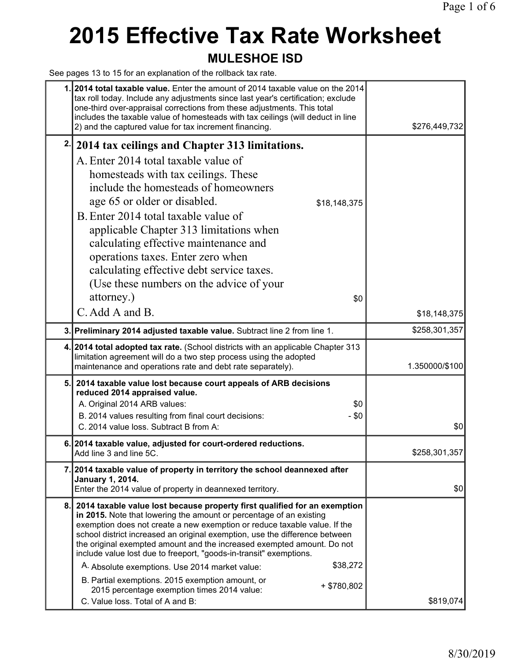## **2015 Effective Tax Rate Worksheet**

#### **MULESHOE ISD**

See pages 13 to 15 for an explanation of the rollback tax rate.

|     | 2014 total taxable value. Enter the amount of 2014 taxable value on the 2014<br>tax roll today. Include any adjustments since last year's certification; exclude<br>one-third over-appraisal corrections from these adjustments. This total<br>includes the taxable value of homesteads with tax ceilings (will deduct in line<br>2) and the captured value for tax increment financing.                                                                     | \$276,449,732  |
|-----|--------------------------------------------------------------------------------------------------------------------------------------------------------------------------------------------------------------------------------------------------------------------------------------------------------------------------------------------------------------------------------------------------------------------------------------------------------------|----------------|
| 2.  | 2014 tax ceilings and Chapter 313 limitations.                                                                                                                                                                                                                                                                                                                                                                                                               |                |
|     | A. Enter 2014 total taxable value of                                                                                                                                                                                                                                                                                                                                                                                                                         |                |
|     | homesteads with tax ceilings. These<br>include the homesteads of homeowners                                                                                                                                                                                                                                                                                                                                                                                  |                |
|     | age 65 or older or disabled.                                                                                                                                                                                                                                                                                                                                                                                                                                 |                |
|     | \$18,148,375<br>B. Enter 2014 total taxable value of                                                                                                                                                                                                                                                                                                                                                                                                         |                |
|     | applicable Chapter 313 limitations when                                                                                                                                                                                                                                                                                                                                                                                                                      |                |
|     | calculating effective maintenance and                                                                                                                                                                                                                                                                                                                                                                                                                        |                |
|     | operations taxes. Enter zero when                                                                                                                                                                                                                                                                                                                                                                                                                            |                |
|     | calculating effective debt service taxes.                                                                                                                                                                                                                                                                                                                                                                                                                    |                |
|     | (Use these numbers on the advice of your                                                                                                                                                                                                                                                                                                                                                                                                                     |                |
|     | attorney.)<br>\$0                                                                                                                                                                                                                                                                                                                                                                                                                                            |                |
|     | C. Add A and B.                                                                                                                                                                                                                                                                                                                                                                                                                                              | \$18,148,375   |
| 3.1 | Preliminary 2014 adjusted taxable value. Subtract line 2 from line 1.                                                                                                                                                                                                                                                                                                                                                                                        | \$258,301,357  |
|     | 4. 2014 total adopted tax rate. (School districts with an applicable Chapter 313<br>limitation agreement will do a two step process using the adopted<br>maintenance and operations rate and debt rate separately).                                                                                                                                                                                                                                          | 1.350000/\$100 |
| 5.  | 2014 taxable value lost because court appeals of ARB decisions                                                                                                                                                                                                                                                                                                                                                                                               |                |
|     | reduced 2014 appraised value.<br>A. Original 2014 ARB values:<br>\$0                                                                                                                                                                                                                                                                                                                                                                                         |                |
|     | B. 2014 values resulting from final court decisions:<br>- \$0                                                                                                                                                                                                                                                                                                                                                                                                |                |
|     | C. 2014 value loss. Subtract B from A:                                                                                                                                                                                                                                                                                                                                                                                                                       | \$0            |
| 6.  | 2014 taxable value, adjusted for court-ordered reductions.<br>Add line 3 and line 5C.                                                                                                                                                                                                                                                                                                                                                                        | \$258,301,357  |
|     | 7. 2014 taxable value of property in territory the school deannexed after                                                                                                                                                                                                                                                                                                                                                                                    |                |
|     | <b>January 1, 2014.</b><br>Enter the 2014 value of property in deannexed territory.                                                                                                                                                                                                                                                                                                                                                                          | \$0            |
| 8.1 | 2014 taxable value lost because property first qualified for an exemption<br>in 2015. Note that lowering the amount or percentage of an existing<br>exemption does not create a new exemption or reduce taxable value. If the<br>school district increased an original exemption, use the difference between<br>the original exempted amount and the increased exempted amount. Do not<br>include value lost due to freeport, "goods-in-transit" exemptions. |                |
|     | \$38,272<br>A. Absolute exemptions. Use 2014 market value:                                                                                                                                                                                                                                                                                                                                                                                                   |                |
|     | B. Partial exemptions. 2015 exemption amount, or<br>+ \$780,802<br>2015 percentage exemption times 2014 value:                                                                                                                                                                                                                                                                                                                                               |                |
|     | C. Value loss. Total of A and B:                                                                                                                                                                                                                                                                                                                                                                                                                             | \$819,074      |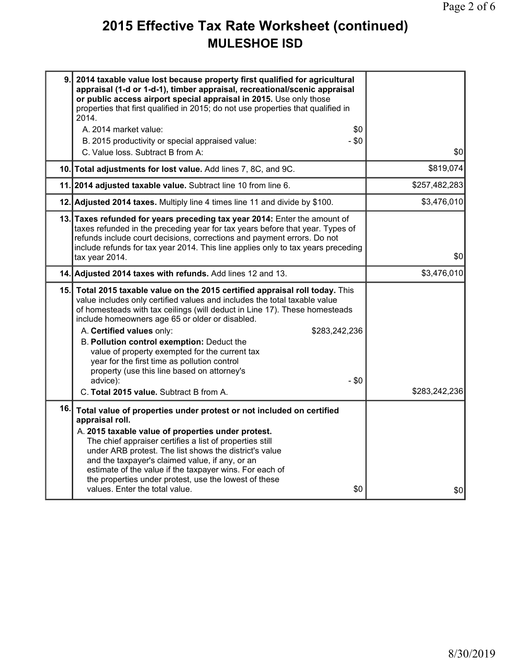### **2015 Effective Tax Rate Worksheet (continued) MULESHOE ISD**

| 9.1 | 2014 taxable value lost because property first qualified for agricultural<br>appraisal (1-d or 1-d-1), timber appraisal, recreational/scenic appraisal<br>or public access airport special appraisal in 2015. Use only those<br>properties that first qualified in 2015; do not use properties that qualified in<br>2014.<br>A. 2014 market value:<br>\$0<br>$-$ \$0<br>B. 2015 productivity or special appraised value:<br>C. Value loss. Subtract B from A:                                                                                                                                         | \$0           |
|-----|-------------------------------------------------------------------------------------------------------------------------------------------------------------------------------------------------------------------------------------------------------------------------------------------------------------------------------------------------------------------------------------------------------------------------------------------------------------------------------------------------------------------------------------------------------------------------------------------------------|---------------|
|     | 10. Total adjustments for lost value. Add lines 7, 8C, and 9C.                                                                                                                                                                                                                                                                                                                                                                                                                                                                                                                                        | \$819,074     |
|     | 11. 2014 adjusted taxable value. Subtract line 10 from line 6.                                                                                                                                                                                                                                                                                                                                                                                                                                                                                                                                        | \$257,482,283 |
|     | 12. Adjusted 2014 taxes. Multiply line 4 times line 11 and divide by \$100.                                                                                                                                                                                                                                                                                                                                                                                                                                                                                                                           | \$3,476,010   |
|     | 13. Taxes refunded for years preceding tax year 2014: Enter the amount of<br>taxes refunded in the preceding year for tax years before that year. Types of<br>refunds include court decisions, corrections and payment errors. Do not<br>include refunds for tax year 2014. This line applies only to tax years preceding<br>tax year 2014.                                                                                                                                                                                                                                                           | \$0           |
|     | 14. Adjusted 2014 taxes with refunds. Add lines 12 and 13.                                                                                                                                                                                                                                                                                                                                                                                                                                                                                                                                            | \$3,476,010   |
| 15. | Total 2015 taxable value on the 2015 certified appraisal roll today. This<br>value includes only certified values and includes the total taxable value<br>of homesteads with tax ceilings (will deduct in Line 17). These homesteads<br>include homeowners age 65 or older or disabled.<br>A. Certified values only:<br>\$283,242,236<br>B. Pollution control exemption: Deduct the<br>value of property exempted for the current tax<br>year for the first time as pollution control<br>property (use this line based on attorney's<br>advice):<br>$- $0$<br>C. Total 2015 value. Subtract B from A. | \$283,242,236 |
| 16. | Total value of properties under protest or not included on certified<br>appraisal roll.<br>A. 2015 taxable value of properties under protest.<br>The chief appraiser certifies a list of properties still<br>under ARB protest. The list shows the district's value<br>and the taxpayer's claimed value, if any, or an<br>estimate of the value if the taxpayer wins. For each of<br>the properties under protest, use the lowest of these<br>values. Enter the total value.<br>\$0                                                                                                                   | \$0           |
|     |                                                                                                                                                                                                                                                                                                                                                                                                                                                                                                                                                                                                       |               |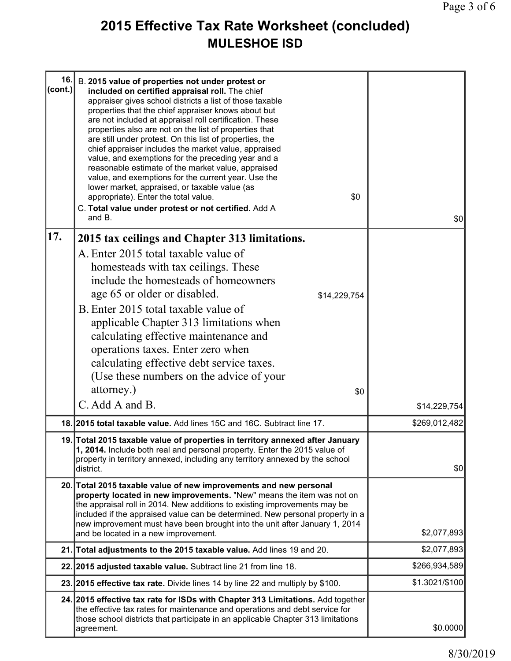### **2015 Effective Tax Rate Worksheet (concluded) MULESHOE ISD**

| 16.<br> cont. | B. 2015 value of properties not under protest or<br>included on certified appraisal roll. The chief<br>appraiser gives school districts a list of those taxable<br>properties that the chief appraiser knows about but<br>are not included at appraisal roll certification. These<br>properties also are not on the list of properties that<br>are still under protest. On this list of properties, the<br>chief appraiser includes the market value, appraised<br>value, and exemptions for the preceding year and a<br>reasonable estimate of the market value, appraised<br>value, and exemptions for the current year. Use the<br>lower market, appraised, or taxable value (as<br>appropriate). Enter the total value.<br>\$0<br>C. Total value under protest or not certified. Add A<br>and B. | \$0            |
|---------------|------------------------------------------------------------------------------------------------------------------------------------------------------------------------------------------------------------------------------------------------------------------------------------------------------------------------------------------------------------------------------------------------------------------------------------------------------------------------------------------------------------------------------------------------------------------------------------------------------------------------------------------------------------------------------------------------------------------------------------------------------------------------------------------------------|----------------|
| 17.           |                                                                                                                                                                                                                                                                                                                                                                                                                                                                                                                                                                                                                                                                                                                                                                                                      |                |
|               | 2015 tax ceilings and Chapter 313 limitations.<br>A. Enter 2015 total taxable value of<br>homesteads with tax ceilings. These<br>include the homesteads of homeowners<br>age 65 or older or disabled.<br>\$14,229,754<br>B. Enter 2015 total taxable value of<br>applicable Chapter 313 limitations when<br>calculating effective maintenance and<br>operations taxes. Enter zero when<br>calculating effective debt service taxes.<br>(Use these numbers on the advice of your<br>attorney.)<br>\$0<br>C. Add A and B.                                                                                                                                                                                                                                                                              | \$14,229,754   |
|               | 18. 2015 total taxable value. Add lines 15C and 16C. Subtract line 17.                                                                                                                                                                                                                                                                                                                                                                                                                                                                                                                                                                                                                                                                                                                               | \$269,012,482  |
|               | 19. Total 2015 taxable value of properties in territory annexed after January<br>1, 2014. Include both real and personal property. Enter the 2015 value of<br>property in territory annexed, including any territory annexed by the school<br>district.                                                                                                                                                                                                                                                                                                                                                                                                                                                                                                                                              | \$0            |
|               | 20. Total 2015 taxable value of new improvements and new personal<br>property located in new improvements. "New" means the item was not on<br>the appraisal roll in 2014. New additions to existing improvements may be<br>included if the appraised value can be determined. New personal property in a<br>new improvement must have been brought into the unit after January 1, 2014<br>and be located in a new improvement.                                                                                                                                                                                                                                                                                                                                                                       | \$2,077,893    |
|               | 21. Total adjustments to the 2015 taxable value. Add lines 19 and 20.                                                                                                                                                                                                                                                                                                                                                                                                                                                                                                                                                                                                                                                                                                                                | \$2,077,893    |
|               | 22. 2015 adjusted taxable value. Subtract line 21 from line 18.                                                                                                                                                                                                                                                                                                                                                                                                                                                                                                                                                                                                                                                                                                                                      | \$266,934,589  |
|               | 23. 2015 effective tax rate. Divide lines 14 by line 22 and multiply by \$100.                                                                                                                                                                                                                                                                                                                                                                                                                                                                                                                                                                                                                                                                                                                       | \$1.3021/\$100 |
|               | 24. 2015 effective tax rate for ISDs with Chapter 313 Limitations. Add together<br>the effective tax rates for maintenance and operations and debt service for<br>those school districts that participate in an applicable Chapter 313 limitations<br>agreement.                                                                                                                                                                                                                                                                                                                                                                                                                                                                                                                                     | \$0.0000       |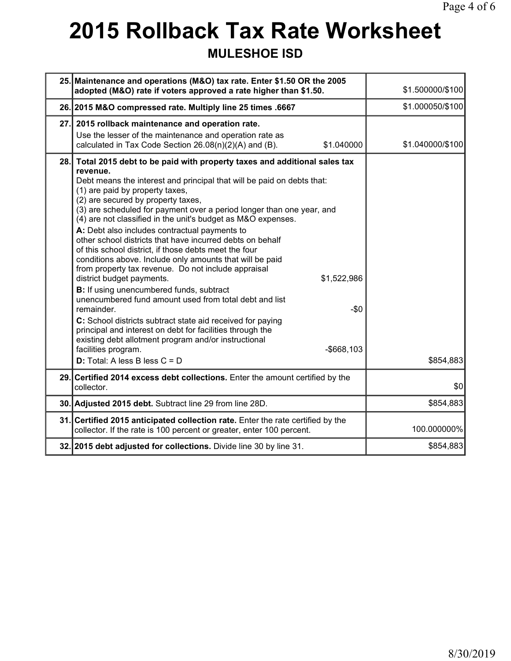# **2015 Rollback Tax Rate Worksheet**

**MULESHOE ISD** 

|     | 25. Maintenance and operations (M&O) tax rate. Enter \$1.50 OR the 2005<br>adopted (M&O) rate if voters approved a rate higher than \$1.50.                                                                                                                                                                                                                                                                                                                                                                                                                                                                                                                                                                                                                                                                                                                                                                                                                                                                                                                                                                             | \$1.500000/\$100 |
|-----|-------------------------------------------------------------------------------------------------------------------------------------------------------------------------------------------------------------------------------------------------------------------------------------------------------------------------------------------------------------------------------------------------------------------------------------------------------------------------------------------------------------------------------------------------------------------------------------------------------------------------------------------------------------------------------------------------------------------------------------------------------------------------------------------------------------------------------------------------------------------------------------------------------------------------------------------------------------------------------------------------------------------------------------------------------------------------------------------------------------------------|------------------|
|     | 26. 2015 M&O compressed rate. Multiply line 25 times .6667                                                                                                                                                                                                                                                                                                                                                                                                                                                                                                                                                                                                                                                                                                                                                                                                                                                                                                                                                                                                                                                              | \$1.000050/\$100 |
|     | 27. 2015 rollback maintenance and operation rate.<br>Use the lesser of the maintenance and operation rate as<br>calculated in Tax Code Section 26.08(n)(2)(A) and (B).<br>\$1.040000                                                                                                                                                                                                                                                                                                                                                                                                                                                                                                                                                                                                                                                                                                                                                                                                                                                                                                                                    | \$1.040000/\$100 |
| 28. | Total 2015 debt to be paid with property taxes and additional sales tax<br>revenue.<br>Debt means the interest and principal that will be paid on debts that:<br>(1) are paid by property taxes,<br>(2) are secured by property taxes,<br>(3) are scheduled for payment over a period longer than one year, and<br>(4) are not classified in the unit's budget as M&O expenses.<br>A: Debt also includes contractual payments to<br>other school districts that have incurred debts on behalf<br>of this school district, if those debts meet the four<br>conditions above. Include only amounts that will be paid<br>from property tax revenue. Do not include appraisal<br>district budget payments.<br>\$1,522,986<br>B: If using unencumbered funds, subtract<br>unencumbered fund amount used from total debt and list<br>remainder.<br>$-$0$<br>C: School districts subtract state aid received for paying<br>principal and interest on debt for facilities through the<br>existing debt allotment program and/or instructional<br>facilities program.<br>$-$ \$668,103<br><b>D:</b> Total: A less B less $C = D$ | \$854,883        |
|     | 29. Certified 2014 excess debt collections. Enter the amount certified by the<br>collector.                                                                                                                                                                                                                                                                                                                                                                                                                                                                                                                                                                                                                                                                                                                                                                                                                                                                                                                                                                                                                             | \$0              |
|     | 30. Adjusted 2015 debt. Subtract line 29 from line 28D.                                                                                                                                                                                                                                                                                                                                                                                                                                                                                                                                                                                                                                                                                                                                                                                                                                                                                                                                                                                                                                                                 | \$854,883        |
|     | 31. Certified 2015 anticipated collection rate. Enter the rate certified by the<br>collector. If the rate is 100 percent or greater, enter 100 percent.                                                                                                                                                                                                                                                                                                                                                                                                                                                                                                                                                                                                                                                                                                                                                                                                                                                                                                                                                                 | 100.000000%      |
|     | 32. 2015 debt adjusted for collections. Divide line 30 by line 31.                                                                                                                                                                                                                                                                                                                                                                                                                                                                                                                                                                                                                                                                                                                                                                                                                                                                                                                                                                                                                                                      | \$854,883        |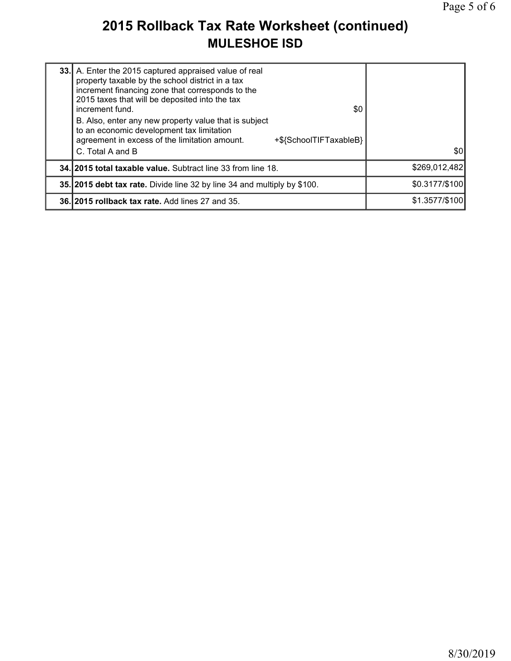## **2015 Rollback Tax Rate Worksheet (continued) MULESHOE ISD**

| 33. A. Enter the 2015 captured appraised value of real<br>property taxable by the school district in a tax<br>increment financing zone that corresponds to the<br>2015 taxes that will be deposited into the tax<br>increment fund.<br>\$0<br>B. Also, enter any new property value that is subject<br>to an economic development tax limitation<br>agreement in excess of the limitation amount.<br>+\${SchoolTIFTaxableB}<br>C. Total A and B | \$0            |
|-------------------------------------------------------------------------------------------------------------------------------------------------------------------------------------------------------------------------------------------------------------------------------------------------------------------------------------------------------------------------------------------------------------------------------------------------|----------------|
| 34. 2015 total taxable value. Subtract line 33 from line 18.                                                                                                                                                                                                                                                                                                                                                                                    | \$269,012,482  |
| 35. 2015 debt tax rate. Divide line 32 by line 34 and multiply by \$100.                                                                                                                                                                                                                                                                                                                                                                        | \$0.3177/\$100 |
| 36. 2015 rollback tax rate. Add lines 27 and 35.                                                                                                                                                                                                                                                                                                                                                                                                | \$1.3577/\$100 |